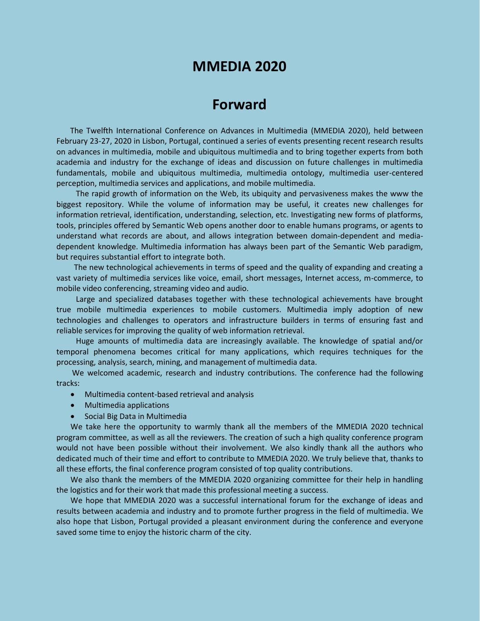# **MMEDIA 2020**

# **Forward**

The Twelfth International Conference on Advances in Multimedia (MMEDIA 2020), held between February 23-27, 2020 in Lisbon, Portugal, continued a series of events presenting recent research results on advances in multimedia, mobile and ubiquitous multimedia and to bring together experts from both academia and industry for the exchange of ideas and discussion on future challenges in multimedia fundamentals, mobile and ubiquitous multimedia, multimedia ontology, multimedia user-centered perception, multimedia services and applications, and mobile multimedia.

The rapid growth of information on the Web, its ubiquity and pervasiveness makes the www the biggest repository. While the volume of information may be useful, it creates new challenges for information retrieval, identification, understanding, selection, etc. Investigating new forms of platforms, tools, principles offered by Semantic Web opens another door to enable humans programs, or agents to understand what records are about, and allows integration between domain-dependent and mediadependent knowledge. Multimedia information has always been part of the Semantic Web paradigm, but requires substantial effort to integrate both.

The new technological achievements in terms of speed and the quality of expanding and creating a vast variety of multimedia services like voice, email, short messages, Internet access, m-commerce, to mobile video conferencing, streaming video and audio.

Large and specialized databases together with these technological achievements have brought true mobile multimedia experiences to mobile customers. Multimedia imply adoption of new technologies and challenges to operators and infrastructure builders in terms of ensuring fast and reliable services for improving the quality of web information retrieval.

Huge amounts of multimedia data are increasingly available. The knowledge of spatial and/or temporal phenomena becomes critical for many applications, which requires techniques for the processing, analysis, search, mining, and management of multimedia data.

We welcomed academic, research and industry contributions. The conference had the following tracks:

- Multimedia content-based retrieval and analysis
- Multimedia applications
- Social Big Data in Multimedia

We take here the opportunity to warmly thank all the members of the MMEDIA 2020 technical program committee, as well as all the reviewers. The creation of such a high quality conference program would not have been possible without their involvement. We also kindly thank all the authors who dedicated much of their time and effort to contribute to MMEDIA 2020. We truly believe that, thanks to all these efforts, the final conference program consisted of top quality contributions.

We also thank the members of the MMEDIA 2020 organizing committee for their help in handling the logistics and for their work that made this professional meeting a success.

We hope that MMEDIA 2020 was a successful international forum for the exchange of ideas and results between academia and industry and to promote further progress in the field of multimedia. We also hope that Lisbon, Portugal provided a pleasant environment during the conference and everyone saved some time to enjoy the historic charm of the city.